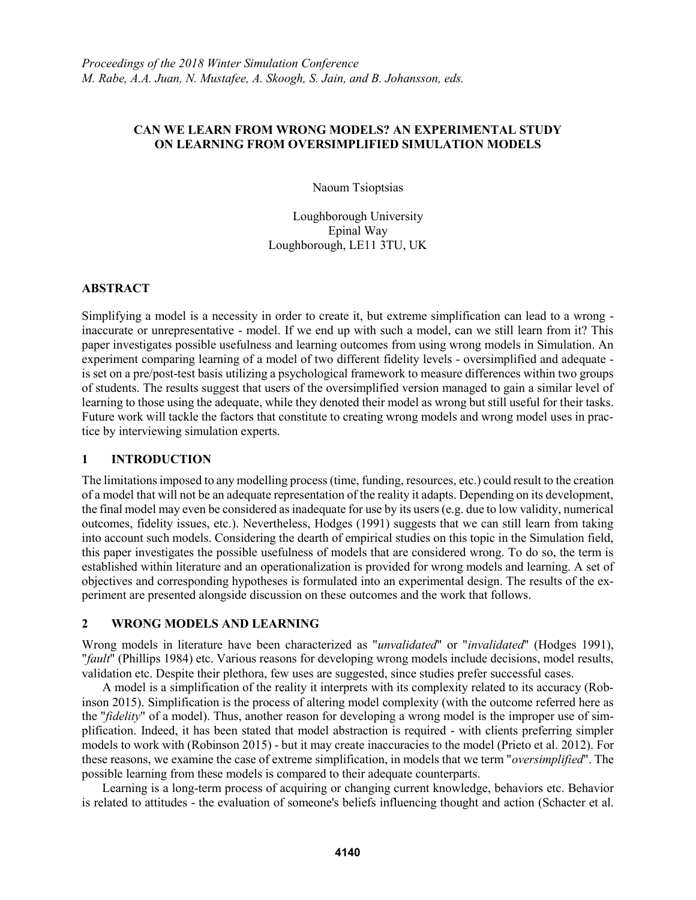## **CAN WE LEARN FROM WRONG MODELS? AN EXPERIMENTAL STUDY ON LEARNING FROM OVERSIMPLIFIED SIMULATION MODELS**

Naoum Tsioptsias

Loughborough University Epinal Way Loughborough, LE11 3TU, UK

## **ABSTRACT**

Simplifying a model is a necessity in order to create it, but extreme simplification can lead to a wrong inaccurate or unrepresentative - model. If we end up with such a model, can we still learn from it? This paper investigates possible usefulness and learning outcomes from using wrong models in Simulation. An experiment comparing learning of a model of two different fidelity levels - oversimplified and adequate is set on a pre/post-test basis utilizing a psychological framework to measure differences within two groups of students. The results suggest that users of the oversimplified version managed to gain a similar level of learning to those using the adequate, while they denoted their model as wrong but still useful for their tasks. Future work will tackle the factors that constitute to creating wrong models and wrong model uses in practice by interviewing simulation experts.

# **1 INTRODUCTION**

The limitations imposed to any modelling process (time, funding, resources, etc.) could result to the creation of a model that will not be an adequate representation of the reality it adapts. Depending on its development, the final model may even be considered as inadequate for use by its users (e.g. due to low validity, numerical outcomes, fidelity issues, etc.). Nevertheless, Hodges (1991) suggests that we can still learn from taking into account such models. Considering the dearth of empirical studies on this topic in the Simulation field, this paper investigates the possible usefulness of models that are considered wrong. To do so, the term is established within literature and an operationalization is provided for wrong models and learning. A set of objectives and corresponding hypotheses is formulated into an experimental design. The results of the experiment are presented alongside discussion on these outcomes and the work that follows.

## **2 WRONG MODELS AND LEARNING**

Wrong models in literature have been characterized as "*unvalidated*" or "*invalidated*" (Hodges 1991), "*fault*" (Phillips 1984) etc. Various reasons for developing wrong models include decisions, model results, validation etc. Despite their plethora, few uses are suggested, since studies prefer successful cases.

A model is a simplification of the reality it interprets with its complexity related to its accuracy (Robinson 2015). Simplification is the process of altering model complexity (with the outcome referred here as the "*fidelity*" of a model). Thus, another reason for developing a wrong model is the improper use of simplification. Indeed, it has been stated that model abstraction is required - with clients preferring simpler models to work with (Robinson 2015) - but it may create inaccuracies to the model (Prieto et al. 2012). For these reasons, we examine the case of extreme simplification, in models that we term "*oversimplified*". The possible learning from these models is compared to their adequate counterparts.

Learning is a long-term process of acquiring or changing current knowledge, behaviors etc. Behavior is related to attitudes - the evaluation of someone's beliefs influencing thought and action (Schacter et al.